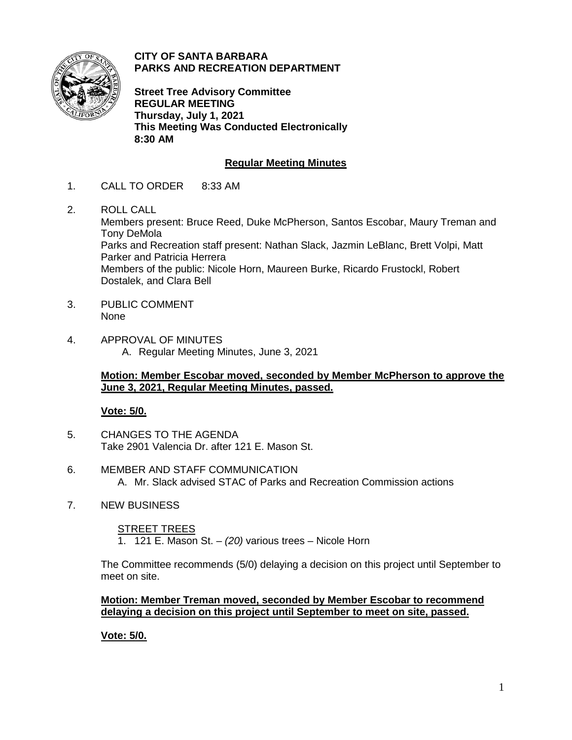

**CITY OF SANTA BARBARA PARKS AND RECREATION DEPARTMENT**

**Street Tree Advisory Committee REGULAR MEETING Thursday, July 1, 2021 This Meeting Was Conducted Electronically 8:30 AM**

# **Regular Meeting Minutes**

- 1. CALL TO ORDER 8:33 AM
- 2. ROLL CALL Members present: Bruce Reed, Duke McPherson, Santos Escobar, Maury Treman and Tony DeMola Parks and Recreation staff present: Nathan Slack, Jazmin LeBlanc, Brett Volpi, Matt Parker and Patricia Herrera Members of the public: Nicole Horn, Maureen Burke, Ricardo Frustockl, Robert Dostalek, and Clara Bell
- 3. PUBLIC COMMENT None
- 4. APPROVAL OF MINUTES A. Regular Meeting Minutes, June 3, 2021

## **Motion: Member Escobar moved, seconded by Member McPherson to approve the June 3, 2021, Regular Meeting Minutes, passed.**

## **Vote: 5/0.**

- 5. CHANGES TO THE AGENDA Take 2901 Valencia Dr. after 121 E. Mason St.
- 6. MEMBER AND STAFF COMMUNICATION A. Mr. Slack advised STAC of Parks and Recreation Commission actions
- 7. NEW BUSINESS

## STREET TREES

1. 121 E. Mason St. – *(20)* various trees – Nicole Horn

The Committee recommends (5/0) delaying a decision on this project until September to meet on site.

## **Motion: Member Treman moved, seconded by Member Escobar to recommend delaying a decision on this project until September to meet on site, passed.**

**Vote: 5/0.**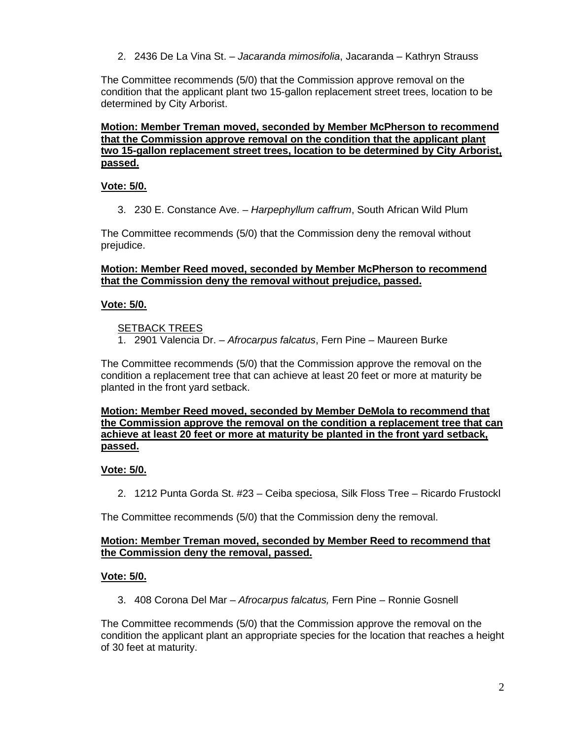2. 2436 De La Vina St. – *Jacaranda mimosifolia*, Jacaranda – Kathryn Strauss

The Committee recommends (5/0) that the Commission approve removal on the condition that the applicant plant two 15-gallon replacement street trees, location to be determined by City Arborist.

#### **Motion: Member Treman moved, seconded by Member McPherson to recommend that the Commission approve removal on the condition that the applicant plant two 15-gallon replacement street trees, location to be determined by City Arborist, passed.**

## **Vote: 5/0.**

3. 230 E. Constance Ave. – *Harpephyllum caffrum*, South African Wild Plum

The Committee recommends (5/0) that the Commission deny the removal without prejudice.

#### **Motion: Member Reed moved, seconded by Member McPherson to recommend that the Commission deny the removal without prejudice, passed.**

### **Vote: 5/0.**

### SETBACK TREES

1. 2901 Valencia Dr. – *Afrocarpus falcatus*, Fern Pine – Maureen Burke

The Committee recommends (5/0) that the Commission approve the removal on the condition a replacement tree that can achieve at least 20 feet or more at maturity be planted in the front yard setback.

### **Motion: Member Reed moved, seconded by Member DeMola to recommend that the Commission approve the removal on the condition a replacement tree that can achieve at least 20 feet or more at maturity be planted in the front yard setback, passed.**

## **Vote: 5/0.**

2. 1212 Punta Gorda St. #23 – Ceiba speciosa, Silk Floss Tree – Ricardo Frustockl

The Committee recommends (5/0) that the Commission deny the removal.

### **Motion: Member Treman moved, seconded by Member Reed to recommend that the Commission deny the removal, passed.**

## **Vote: 5/0.**

3. 408 Corona Del Mar – *Afrocarpus falcatus,* Fern Pine – Ronnie Gosnell

The Committee recommends (5/0) that the Commission approve the removal on the condition the applicant plant an appropriate species for the location that reaches a height of 30 feet at maturity.